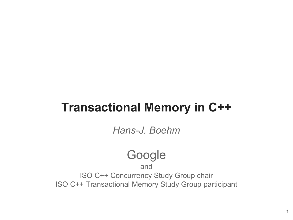#### **Transactional Memory in C++**

*Hans-J. Boehm*

#### Google

and ISO C++ Concurrency Study Group chair ISO C++ Transactional Memory Study Group participant

1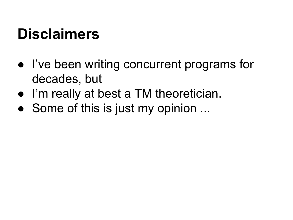#### **Disclaimers**

- I've been writing concurrent programs for decades, but
- I'm really at best a TM theoretician.
- Some of this is just my opinion ...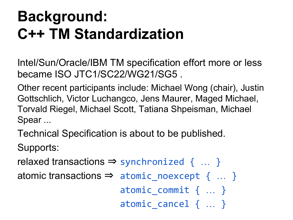#### **Background: C++ TM Standardization**

Intel/Sun/Oracle/IBM TM specification effort more or less became ISO JTC1/SC22/WG21/SG5 .

Other recent participants include: Michael Wong (chair), Justin Gottschlich, Victor Luchangco, Jens Maurer, Maged Michael, Torvald Riegel, Michael Scott, Tatiana Shpeisman, Michael Spear ...

Technical Specification is about to be published.

Supports:

relaxed transactions  $\Rightarrow$  synchronized  $\{ \dots \}$ 

atomic transactions  $\Rightarrow$  atomic\_noexcept { ... }

atomic commit { ... }

atomic\_cancel { … }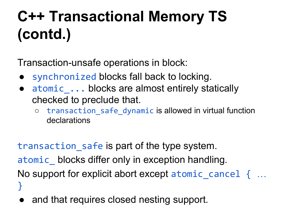## **C++ Transactional Memory TS (contd.)**

Transaction-unsafe operations in block:

- synchronized blocks fall back to locking.
- atomic ... blocks are almost entirely statically checked to preclude that.
	- transaction\_safe\_dynamic is allowed in virtual function declarations

transaction\_safe is part of the type system. atomic\_ blocks differ only in exception handling. No support for explicit abort except atomic cancel  $\{$  ... }

and that requires closed nesting support.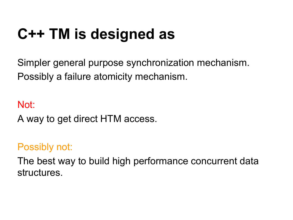#### **C++ TM is designed as**

Simpler general purpose synchronization mechanism. Possibly a failure atomicity mechanism.

Not: A way to get direct HTM access.

#### Possibly not:

The best way to build high performance concurrent data structures.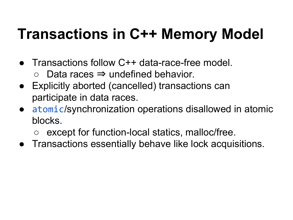#### **Transactions in C++ Memory Model**

- Transactions follow C++ data-race-free model.
	- $\circ$  Data races  $\Rightarrow$  undefined behavior.
- $\bullet~$  Explicitly aborted (cancelled) transactions can participate in data races.
- atomic/synchronization operations disallowed in atomic blocks.
	- except for function-local statics, malloc/free.
- Transactions essentially behave like lock acquisitions.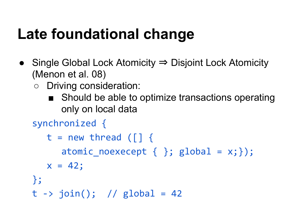#### **Late foundational change**

- Single Global Lock Atomicity ⇒ Disjoint Lock Atomicity (Menon et al. 08)
	- Driving consideration:
		- Should be able to optimize transactions operating only on local data

```
synchronized {
```

```
t = new thread ([] {\n}atomic noexecept \{\}; global = x;});
   x = 42;};
t \rightarrow join(); // global = 42
```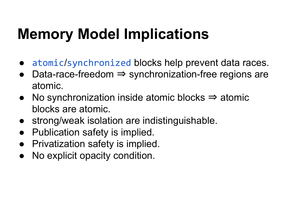#### **Memory Model Implications**

- atomic/synchronized blocks help prevent data races.
- Data-race-freedom  $\Rightarrow$  synchronization-free regions are atomic.
- No synchronization inside atomic blocks  $\Rightarrow$  atomic blocks are atomic.
- strong/weak isolation are indistinguishable.
- Publication safety is implied.
- **Privatization safety is implied.**
- No explicit opacity condition.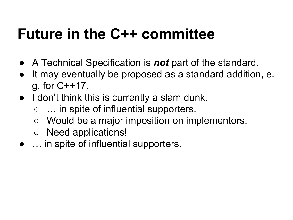#### **Future in the C++ committee**

- A Technical Specification is *not* part of the standard.
- It may eventually be proposed as a standard addition, e. g. for C++17.
- I don't think this is currently a slam dunk.
	- … in spite of influential supporters.
	- Would be a major imposition on implementors.
	- Need applications!
- … in spite of influential supporters.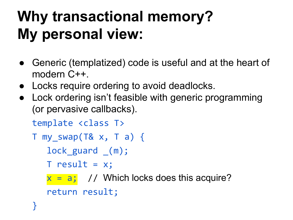## **Why transactional memory? My personal view:**

- Generic (templatized) code is useful and at the heart of modern C++.
- Locks require ordering to avoid deadlocks.
- Lock ordering isn't feasible with generic programming (or pervasive callbacks).

template <class T>

$$
T my_swap(T& x, T a) {
$$

lock guard (m);

 $T$  result =  $x$ ;

 $x = a$ ; // Which locks does this acquire? return result;

<u>}</u>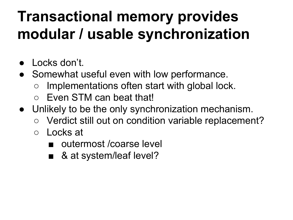#### **Transactional memory provides modular / usable synchronization**

- **D** Locks don't.
- Somewhat useful even with low performance.
	- $\circ$  Implementations often start with global lock.
	- Even STM can beat that!
- Unlikely to be the only synchronization mechanism.
	- Verdict still out on condition variable replacement?
	- Locks at
		- outermost / coarse level
		- & at system/leaf level?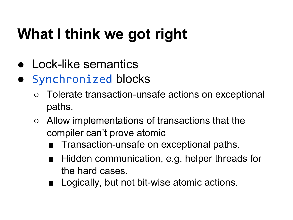## **What I think we got right**

- Lock-like semantics
- Synchronized blocks
	- Tolerate transaction-unsafe actions on exceptional paths.
	- Allow implementations of transactions that the compiler can't prove atomic
		- Transaction-unsafe on exceptional paths.
		- Hidden communication, e.g. helper threads for the hard cases.
		- Logically, but not bit-wise atomic actions.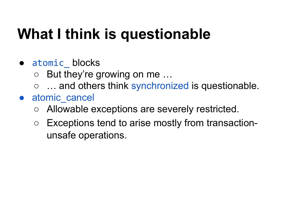### **What I think is questionable**

- atomic blocks
	- $\circ$  But they're growing on me...
	- ... and others think synchronized is questionable.
- atomic cancel
	- Allowable exceptions are severely restricted.
	- Exceptions tend to arise mostly from transactionunsafe operations.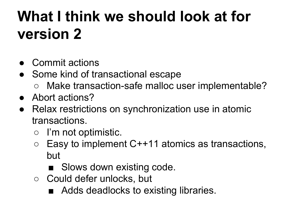### **What I think we should look at for version 2**

- Commit actions
- Some kind of transactional escape
	- Make transaction-safe malloc user implementable?
- Abort actions?
- Relax restrictions on synchronization use in atomic transactions.
	- I'm not optimistic.
	- $\circ$  Easy to implement C++11 atomics as transactions, but
		- Slows down existing code.
	- Could defer unlocks, but
		- Adds deadlocks to existing libraries.